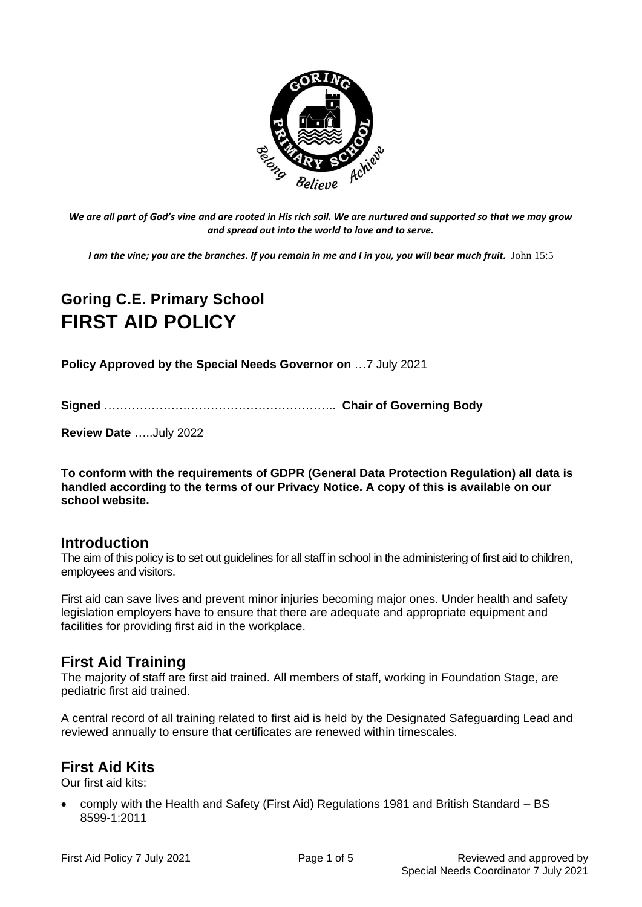

*We are all part of God's vine and are rooted in His rich soil. We are nurtured and supported so that we may grow and spread out into the world to love and to serve.*

*I am the vine; you are the branches. If you remain in me and I in you, you will bear much fruit.* John 15:5

# **Goring C.E. Primary School FIRST AID POLICY**

**Policy Approved by the Special Needs Governor on** …7 July 2021

**Signed** ………………………………………………….. **Chair of Governing Body**

**Review Date** …..July 2022

**To conform with the requirements of GDPR (General Data Protection Regulation) all data is handled according to the terms of our Privacy Notice. A copy of this is available on our school website.** 

#### **Introduction**

The aim of this policy is to set out guidelines for all staff in school in the administering of first aid to children, employees and visitors.

First aid can save lives and prevent minor injuries becoming major ones. Under health and safety legislation employers have to ensure that there are adequate and appropriate equipment and facilities for providing first aid in the workplace.

#### **First Aid Training**

The majority of staff are first aid trained. All members of staff, working in Foundation Stage, are pediatric first aid trained.

A central record of all training related to first aid is held by the Designated Safeguarding Lead and reviewed annually to ensure that certificates are renewed within timescales.

### **First Aid Kits**

Our first aid kits:

• comply with the Health and Safety (First Aid) Regulations 1981 and British Standard – BS 8599-1:2011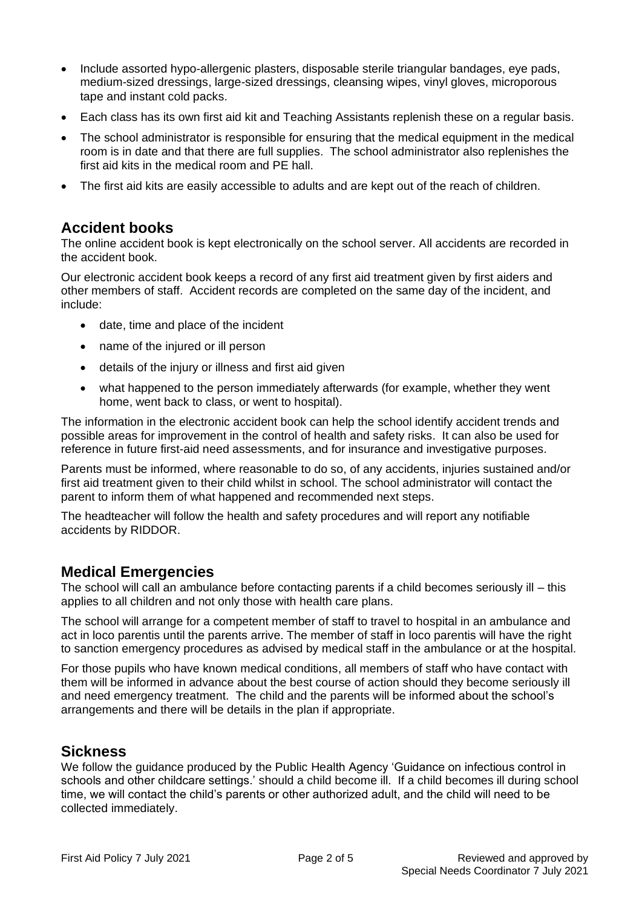- Include assorted hypo-allergenic plasters, disposable sterile triangular bandages, eye pads, medium-sized dressings, large-sized dressings, cleansing wipes, vinyl gloves, microporous tape and instant cold packs.
- Each class has its own first aid kit and Teaching Assistants replenish these on a regular basis.
- The school administrator is responsible for ensuring that the medical equipment in the medical room is in date and that there are full supplies. The school administrator also replenishes the first aid kits in the medical room and PE hall.
- The first aid kits are easily accessible to adults and are kept out of the reach of children.

#### **Accident books**

The online accident book is kept electronically on the school server. All accidents are recorded in the accident book.

Our electronic accident book keeps a record of any first aid treatment given by first aiders and other members of staff. Accident records are completed on the same day of the incident, and include:

- date, time and place of the incident
- name of the injured or ill person
- details of the injury or illness and first aid given
- what happened to the person immediately afterwards (for example, whether they went home, went back to class, or went to hospital).

The information in the electronic accident book can help the school identify accident trends and possible areas for improvement in the control of health and safety risks. It can also be used for reference in future first-aid need assessments, and for insurance and investigative purposes.

Parents must be informed, where reasonable to do so, of any accidents, injuries sustained and/or first aid treatment given to their child whilst in school. The school administrator will contact the parent to inform them of what happened and recommended next steps.

The headteacher will follow the health and safety procedures and will report any notifiable accidents by RIDDOR.

### **Medical Emergencies**

The school will call an ambulance before contacting parents if a child becomes seriously ill – this applies to all children and not only those with health care plans.

The school will arrange for a competent member of staff to travel to hospital in an ambulance and act in loco parentis until the parents arrive. The member of staff in loco parentis will have the right to sanction emergency procedures as advised by medical staff in the ambulance or at the hospital.

For those pupils who have known medical conditions, all members of staff who have contact with them will be informed in advance about the best course of action should they become seriously ill and need emergency treatment. The child and the parents will be informed about the school's arrangements and there will be details in the plan if appropriate.

#### **Sickness**

We follow the guidance produced by the Public Health Agency 'Guidance on infectious control in schools and other childcare settings.' should a child become ill. If a child becomes ill during school time, we will contact the child's parents or other authorized adult, and the child will need to be collected immediately.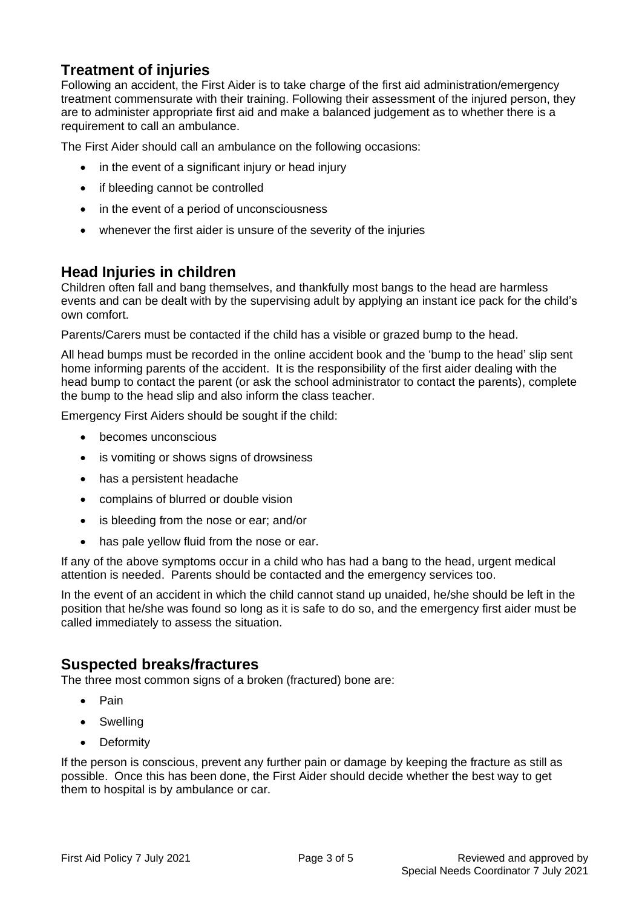# **Treatment of injuries**

Following an accident, the First Aider is to take charge of the first aid administration/emergency treatment commensurate with their training. Following their assessment of the injured person, they are to administer appropriate first aid and make a balanced judgement as to whether there is a requirement to call an ambulance.

The First Aider should call an ambulance on the following occasions:

- in the event of a significant injury or head injury
- if bleeding cannot be controlled
- in the event of a period of unconsciousness
- whenever the first aider is unsure of the severity of the injuries

#### **Head Injuries in children**

Children often fall and bang themselves, and thankfully most bangs to the head are harmless events and can be dealt with by the supervising adult by applying an instant ice pack for the child's own comfort.

Parents/Carers must be contacted if the child has a visible or grazed bump to the head.

All head bumps must be recorded in the online accident book and the 'bump to the head' slip sent home informing parents of the accident. It is the responsibility of the first aider dealing with the head bump to contact the parent (or ask the school administrator to contact the parents), complete the bump to the head slip and also inform the class teacher.

Emergency First Aiders should be sought if the child:

- becomes unconscious
- is vomiting or shows signs of drowsiness
- has a persistent headache
- complains of blurred or double vision
- is bleeding from the nose or ear; and/or
- has pale yellow fluid from the nose or ear.

If any of the above symptoms occur in a child who has had a bang to the head, urgent medical attention is needed. Parents should be contacted and the emergency services too.

In the event of an accident in which the child cannot stand up unaided, he/she should be left in the position that he/she was found so long as it is safe to do so, and the emergency first aider must be called immediately to assess the situation.

### **Suspected breaks/fractures**

The three most common signs of a broken (fractured) bone are:

- Pain
- Swelling
- Deformity

If the person is conscious, prevent any further pain or damage by keeping the fracture as still as possible. Once this has been done, the First Aider should decide whether the best way to get them to hospital is by ambulance or car.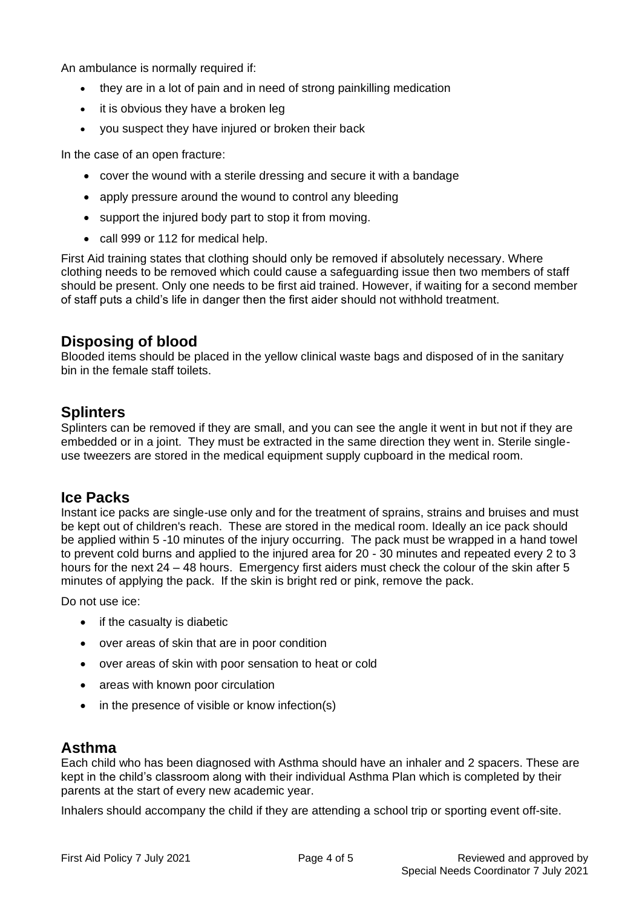An ambulance is normally required if:

- they are in a lot of pain and in need of strong painkilling medication
- it is obvious they have a broken leg
- you suspect they have injured or broken their back

In the case of an open fracture:

- cover the wound with a sterile dressing and secure it with a bandage
- apply pressure around the wound to control any bleeding
- support the injured body part to stop it from moving.
- call 999 or 112 for medical help.

First Aid training states that clothing should only be removed if absolutely necessary. Where clothing needs to be removed which could cause a safeguarding issue then two members of staff should be present. Only one needs to be first aid trained. However, if waiting for a second member of staff puts a child's life in danger then the first aider should not withhold treatment.

## **Disposing of blood**

Blooded items should be placed in the yellow clinical waste bags and disposed of in the sanitary bin in the female staff toilets.

## **Splinters**

Splinters can be removed if they are small, and you can see the angle it went in but not if they are embedded or in a joint. They must be extracted in the same direction they went in. Sterile singleuse tweezers are stored in the medical equipment supply cupboard in the medical room.

### **Ice Packs**

Instant ice packs are single-use only and for the treatment of sprains, strains and bruises and must be kept out of children's reach. These are stored in the medical room. Ideally an ice pack should be applied within 5 -10 minutes of the injury occurring. The pack must be wrapped in a hand towel to prevent cold burns and applied to the injured area for 20 - 30 minutes and repeated every 2 to 3 hours for the next 24 – 48 hours. Emergency first aiders must check the colour of the skin after 5 minutes of applying the pack. If the skin is bright red or pink, remove the pack.

Do not use ice:

- if the casualty is diabetic
- over areas of skin that are in poor condition
- over areas of skin with poor sensation to heat or cold
- areas with known poor circulation
- in the presence of visible or know infection(s)

## **Asthma**

Each child who has been diagnosed with Asthma should have an inhaler and 2 spacers. These are kept in the child's classroom along with their individual Asthma Plan which is completed by their parents at the start of every new academic year.

Inhalers should accompany the child if they are attending a school trip or sporting event off-site.